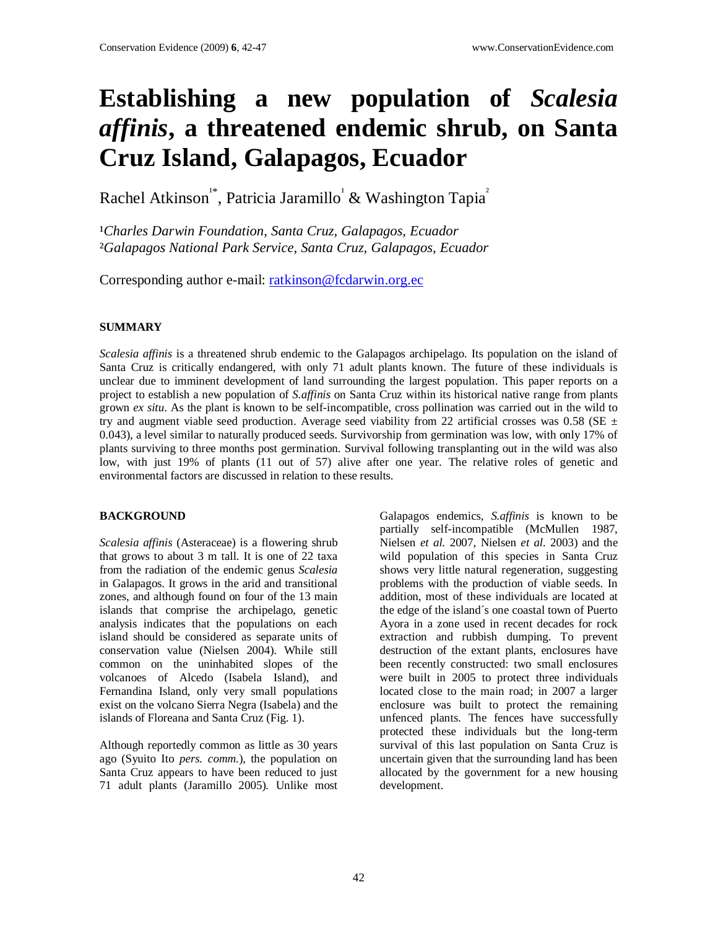# **Establishing a new population of** *Scalesia affinis***, a threatened endemic shrub, on Santa Cruz Island, Galapagos, Ecuador**

Rachel Atkinson<sup>1\*</sup>, Patricia Jaramillo<sup>1</sup> & Washington Tapia<sup>2</sup>

<sup>1</sup>Charles Darwin Foundation, Santa Cruz, Galapagos, Ecuador ²*Galapagos National Park Service, Santa Cruz, Galapagos, Ecuador*

Corresponding author e-mail: ratkinson@fcdarwin.org.ec

# **SUMMARY**

*Scalesia affinis* is a threatened shrub endemic to the Galapagos archipelago. Its population on the island of Santa Cruz is critically endangered, with only 71 adult plants known. The future of these individuals is unclear due to imminent development of land surrounding the largest population. This paper reports on a project to establish a new population of *S.affinis* on Santa Cruz within its historical native range from plants grown *ex situ*. As the plant is known to be self-incompatible, cross pollination was carried out in the wild to try and augment viable seed production. Average seed viability from 22 artificial crosses was 0.58 (SE  $\pm$ 0.043), a level similar to naturally produced seeds. Survivorship from germination was low, with only 17% of plants surviving to three months post germination. Survival following transplanting out in the wild was also low, with just 19% of plants (11 out of 57) alive after one year. The relative roles of genetic and environmental factors are discussed in relation to these results.

### **BACKGROUND**

*Scalesia affinis* (Asteraceae) is a flowering shrub that grows to about 3 m tall. It is one of 22 taxa from the radiation of the endemic genus *Scalesia* in Galapagos. It grows in the arid and transitional zones, and although found on four of the 13 main islands that comprise the archipelago, genetic analysis indicates that the populations on each island should be considered as separate units of conservation value (Nielsen 2004). While still common on the uninhabited slopes of the volcanoes of Alcedo (Isabela Island), and Fernandina Island, only very small populations exist on the volcano Sierra Negra (Isabela) and the islands of Floreana and Santa Cruz (Fig. 1).

Although reportedly common as little as 30 years ago (Syuito Ito *pers. comm.*), the population on Santa Cruz appears to have been reduced to just 71 adult plants (Jaramillo 2005)*.* Unlike most Galapagos endemics, *S.affinis* is known to be partially self-incompatible (McMullen 1987, Nielsen *et al.* 2007, Nielsen *et al.* 2003) and the wild population of this species in Santa Cruz shows very little natural regeneration, suggesting problems with the production of viable seeds. In addition, most of these individuals are located at the edge of the island´s one coastal town of Puerto Ayora in a zone used in recent decades for rock extraction and rubbish dumping. To prevent destruction of the extant plants, enclosures have been recently constructed: two small enclosures were built in 2005 to protect three individuals located close to the main road; in 2007 a larger enclosure was built to protect the remaining unfenced plants. The fences have successfully protected these individuals but the long-term survival of this last population on Santa Cruz is uncertain given that the surrounding land has been allocated by the government for a new housing development.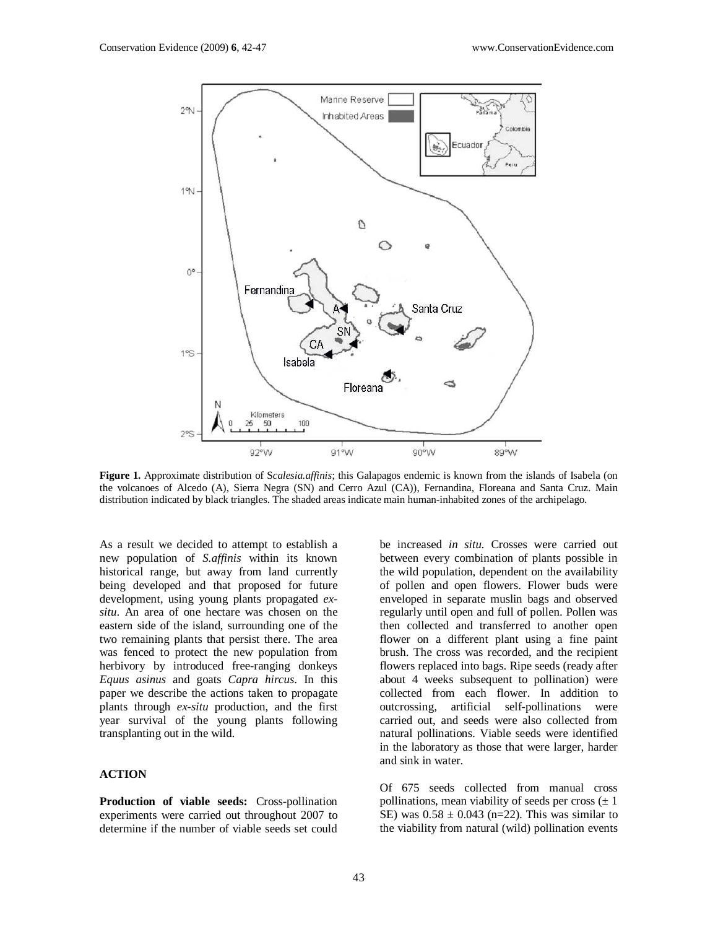

**Figure 1.** Approximate distribution of S*calesia.affinis*; this Galapagos endemic is known from the islands of Isabela (on the volcanoes of Alcedo (A), Sierra Negra (SN) and Cerro Azul (CA)), Fernandina, Floreana and Santa Cruz. Main distribution indicated by black triangles. The shaded areas indicate main human-inhabited zones of the archipelago.

As a result we decided to attempt to establish a new population of *S.affinis* within its known historical range, but away from land currently being developed and that proposed for future development, using young plants propagated *exsitu*. An area of one hectare was chosen on the eastern side of the island, surrounding one of the two remaining plants that persist there. The area was fenced to protect the new population from herbivory by introduced free-ranging donkeys *Equus asinus* and goats *Capra hircus*. In this paper we describe the actions taken to propagate plants through *ex-situ* production, and the first year survival of the young plants following transplanting out in the wild.

#### **ACTION**

**Production of viable seeds:** Cross-pollination experiments were carried out throughout 2007 to determine if the number of viable seeds set could

be increased *in situ*. Crosses were carried out between every combination of plants possible in the wild population, dependent on the availability of pollen and open flowers. Flower buds were enveloped in separate muslin bags and observed regularly until open and full of pollen. Pollen was then collected and transferred to another open flower on a different plant using a fine paint brush. The cross was recorded, and the recipient flowers replaced into bags. Ripe seeds (ready after about 4 weeks subsequent to pollination) were collected from each flower. In addition to outcrossing, artificial self-pollinations were carried out, and seeds were also collected from natural pollinations. Viable seeds were identified in the laboratory as those that were larger, harder and sink in water.

Of 675 seeds collected from manual cross pollinations, mean viability of seeds per cross  $(\pm 1)$ SE) was  $0.58 \pm 0.043$  (n=22). This was similar to the viability from natural (wild) pollination events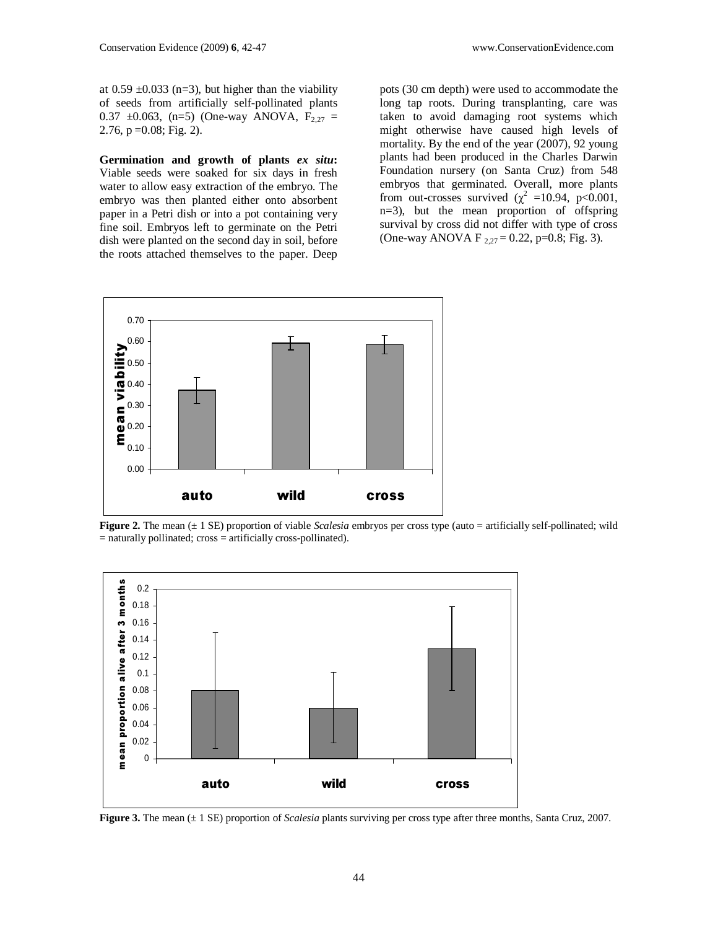at  $0.59 \pm 0.033$  (n=3), but higher than the viability of seeds from artificially self-pollinated plants 0.37  $\pm$ 0.063, (n=5) (One-way ANOVA,  $F_{2,27}$  = 2.76,  $p = 0.08$ ; Fig. 2).

**Germination and growth of plants** *ex situ***:**  Viable seeds were soaked for six days in fresh water to allow easy extraction of the embryo. The embryo was then planted either onto absorbent paper in a Petri dish or into a pot containing very fine soil. Embryos left to germinate on the Petri dish were planted on the second day in soil, before the roots attached themselves to the paper. Deep

pots (30 cm depth) were used to accommodate the long tap roots. During transplanting, care was taken to avoid damaging root systems which might otherwise have caused high levels of mortality. By the end of the year (2007), 92 young plants had been produced in the Charles Darwin Foundation nursery (on Santa Cruz) from 548 embryos that germinated. Overall, more plants from out-crosses survived ( $\chi^2$  =10.94, p<0.001, n=3), but the mean proportion of offspring survival by cross did not differ with type of cross (One-way ANOVA F  $_{2,27}$  = 0.22, p=0.8; Fig. 3).



**Figure 2.** The mean (± 1 SE) proportion of viable *Scalesia* embryos per cross type (auto = artificially self-pollinated; wild = naturally pollinated; cross = artificially cross-pollinated).



**Figure 3.** The mean (± 1 SE) proportion of *Scalesia* plants surviving per cross type after three months, Santa Cruz, 2007.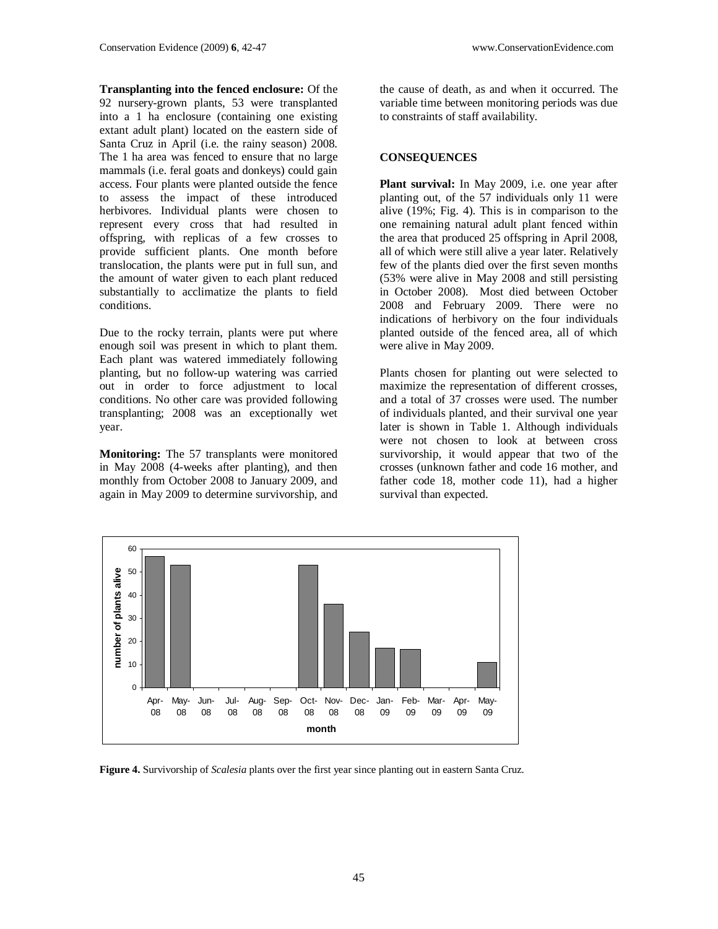**Transplanting into the fenced enclosure:** Of the 92 nursery-grown plants, 53 were transplanted into a 1 ha enclosure (containing one existing extant adult plant) located on the eastern side of Santa Cruz in April (i.e. the rainy season) 2008. The 1 ha area was fenced to ensure that no large mammals (i.e. feral goats and donkeys) could gain access. Four plants were planted outside the fence to assess the impact of these introduced herbivores. Individual plants were chosen to represent every cross that had resulted in offspring, with replicas of a few crosses to provide sufficient plants. One month before translocation, the plants were put in full sun, and the amount of water given to each plant reduced substantially to acclimatize the plants to field conditions.

Due to the rocky terrain, plants were put where enough soil was present in which to plant them. Each plant was watered immediately following planting, but no follow-up watering was carried out in order to force adjustment to local conditions. No other care was provided following transplanting; 2008 was an exceptionally wet year.

**Monitoring:** The 57 transplants were monitored in May 2008 (4-weeks after planting), and then monthly from October 2008 to January 2009, and again in May 2009 to determine survivorship, and

the cause of death, as and when it occurred. The variable time between monitoring periods was due to constraints of staff availability.

#### **CONSEQUENCES**

**Plant survival:** In May 2009, i.e. one year after planting out, of the 57 individuals only 11 were alive (19%; Fig. 4). This is in comparison to the one remaining natural adult plant fenced within the area that produced 25 offspring in April 2008, all of which were still alive a year later. Relatively few of the plants died over the first seven months (53% were alive in May 2008 and still persisting in October 2008). Most died between October 2008 and February 2009. There were no indications of herbivory on the four individuals planted outside of the fenced area, all of which were alive in May 2009.

Plants chosen for planting out were selected to maximize the representation of different crosses, and a total of 37 crosses were used. The number of individuals planted, and their survival one year later is shown in Table 1. Although individuals were not chosen to look at between cross survivorship, it would appear that two of the crosses (unknown father and code 16 mother, and father code 18, mother code 11), had a higher survival than expected.



**Figure 4.** Survivorship of *Scalesia* plants over the first year since planting out in eastern Santa Cruz.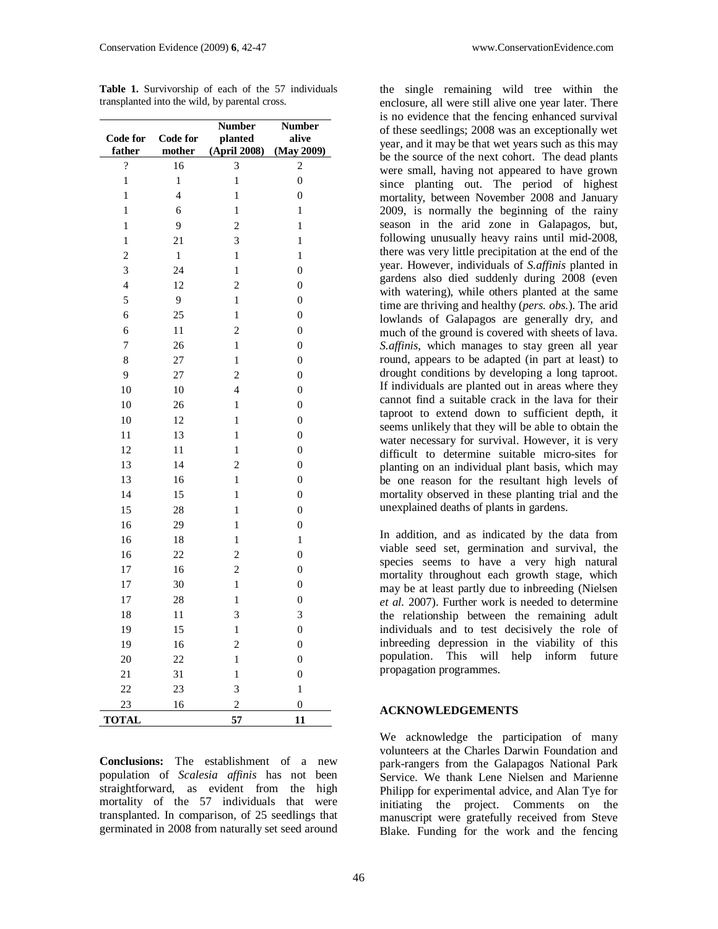**Table 1.** Survivorship of each of the 57 individuals transplanted into the wild, by parental cross.

| <b>Code for</b>          | <b>Code for</b> | <b>Number</b><br>planted | <b>Number</b><br>alive |
|--------------------------|-----------------|--------------------------|------------------------|
| father                   | mother          | (April 2008)             | (May 2009)             |
| $\overline{\mathcal{C}}$ | 16              | 3                        | $\overline{c}$         |
| $\mathbf{1}$             | $\mathbf{1}$    | $\mathbf{1}$             | $\overline{0}$         |
| $\mathbf{1}$             | $\overline{4}$  | $\mathbf{1}$             | 0                      |
| $\mathbf{1}$             | 6               | $\mathbf{1}$             | $\mathbf{1}$           |
| $\mathbf{1}$             | 9               | $\overline{c}$           | $\mathbf{1}$           |
| 1                        | $\overline{21}$ | 3                        | 1                      |
| $\overline{c}$           | $\mathbf{1}$    | $\mathbf{1}$             | $\mathbf{1}$           |
| 3                        | 24              | $\mathbf{1}$             | $\boldsymbol{0}$       |
| $\overline{4}$           | 12              | $\overline{c}$           | $\boldsymbol{0}$       |
| 5                        | 9               | $\mathbf{1}$             | $\boldsymbol{0}$       |
| 6                        | 25              | $\mathbf{1}$             | $\overline{0}$         |
| 6                        | 11              | $\overline{c}$           | $\boldsymbol{0}$       |
| 7                        | 26              | $\mathbf{1}$             | $\boldsymbol{0}$       |
| 8                        | 27              | 1                        | $\boldsymbol{0}$       |
| 9                        | 27              | $\overline{c}$           | $\boldsymbol{0}$       |
| 10                       | 10              | $\overline{4}$           | $\overline{0}$         |
| 10                       | 26              | $\mathbf{1}$             | $\boldsymbol{0}$       |
| 10                       | 12              | $\mathbf{1}$             | $\boldsymbol{0}$       |
| 11                       | 13              | $\mathbf{1}$             | $\boldsymbol{0}$       |
| 12                       | 11              | $\mathbf{1}$             | $\boldsymbol{0}$       |
| 13                       | 14              | $\overline{c}$           | $\overline{0}$         |
| 13                       | 16              | $\mathbf{1}$             | $\boldsymbol{0}$       |
| 14                       | 15              | $\mathbf{1}$             | $\boldsymbol{0}$       |
| 15                       | 28              | 1                        | $\boldsymbol{0}$       |
| 16                       | 29              | $\mathbf{1}$             | $\boldsymbol{0}$       |
| 16                       | 18              | 1                        | $\mathbf{1}$           |
| 16                       | 22              | $\overline{c}$           | $\boldsymbol{0}$       |
| 17                       | 16              | $\overline{c}$           | $\boldsymbol{0}$       |
| 17                       | 30              | $\mathbf{1}$             | $\overline{0}$         |
| 17                       | 28              | $\mathbf{1}$             | $\boldsymbol{0}$       |
| 18                       | 11              | 3                        | 3                      |
| 19                       | 15              | $\mathbf{1}$             | $\boldsymbol{0}$       |
| 19                       | 16              | $\overline{c}$           | $\boldsymbol{0}$       |
| 20                       | 22              | $\mathbf{1}$             | $\overline{0}$         |
| 21                       | 31              | $\mathbf{1}$             | $\boldsymbol{0}$       |
| 22                       | 23              | 3                        | $\mathbf{1}$           |
| 23                       | 16              | $\overline{c}$           | $\boldsymbol{0}$       |
| <b>TOTAL</b>             |                 | 57                       | 11                     |

**Conclusions:** The establishment of a new population of *Scalesia affinis* has not been straightforward, as evident from the high mortality of the 57 individuals that were transplanted. In comparison, of 25 seedlings that germinated in 2008 from naturally set seed around

| the single remaining wild tree within the             |  |  |  |  |
|-------------------------------------------------------|--|--|--|--|
| enclosure, all were still alive one year later. There |  |  |  |  |
| is no evidence that the fencing enhanced survival     |  |  |  |  |
| of these seedlings; 2008 was an exceptionally wet     |  |  |  |  |
| year, and it may be that wet years such as this may   |  |  |  |  |
| be the source of the next cohort. The dead plants     |  |  |  |  |
| were small, having not appeared to have grown         |  |  |  |  |
| since planting out. The period of highest             |  |  |  |  |
| mortality, between November 2008 and January          |  |  |  |  |
| 2009, is normally the beginning of the rainy          |  |  |  |  |
| season in the arid zone in Galapagos, but,            |  |  |  |  |
| following unusually heavy rains until mid-2008,       |  |  |  |  |
| there was very little precipitation at the end of the |  |  |  |  |
| year. However, individuals of S.affinis planted in    |  |  |  |  |
| gardens also died suddenly during 2008 (even          |  |  |  |  |
| with watering), while others planted at the same      |  |  |  |  |
| time are thriving and healthy (pers. obs.). The arid  |  |  |  |  |
| lowlands of Galapagos are generally dry, and          |  |  |  |  |
| much of the ground is covered with sheets of lava.    |  |  |  |  |
| S.affinis, which manages to stay green all year       |  |  |  |  |
| round, appears to be adapted (in part at least) to    |  |  |  |  |
| drought conditions by developing a long taproot.      |  |  |  |  |
| If individuals are planted out in areas where they    |  |  |  |  |
| cannot find a suitable crack in the lava for their    |  |  |  |  |
| taproot to extend down to sufficient depth, it        |  |  |  |  |
| seems unlikely that they will be able to obtain the   |  |  |  |  |
| water necessary for survival. However, it is very     |  |  |  |  |
| difficult to determine suitable micro-sites for       |  |  |  |  |
| planting on an individual plant basis, which may      |  |  |  |  |
| be one reason for the resultant high levels of        |  |  |  |  |
| mortality observed in these planting trial and the    |  |  |  |  |
| unexplained deaths of plants in gardens.              |  |  |  |  |

In addition, and as indicated by the data from viable seed set, germination and survival, the species seems to have a very high natural mortality throughout each growth stage, which may be at least partly due to inbreeding (Nielsen *et al.* 2007). Further work is needed to determine the relationship between the remaining adult individuals and to test decisively the role of inbreeding depression in the viability of this population. This will help inform future propagation programmes.

## **ACKNOWLEDGEMENTS**

We acknowledge the participation of many volunteers at the Charles Darwin Foundation and park-rangers from the Galapagos National Park Service. We thank Lene Nielsen and Marienne Philipp for experimental advice, and Alan Tye for initiating the project. Comments on the manuscript were gratefully received from Steve Blake. Funding for the work and the fencing